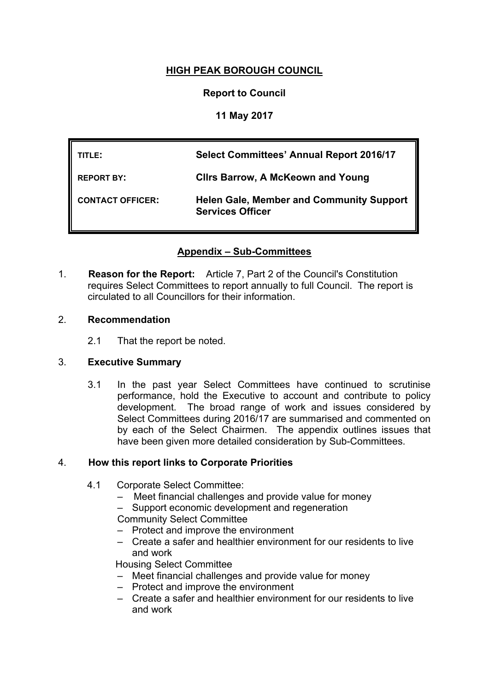# **HIGH PEAK BOROUGH COUNCIL**

# **Report to Council**

# **11 May 2017**

| TITLE: I                | <b>Select Committees' Annual Report 2016/17</b>                            |
|-------------------------|----------------------------------------------------------------------------|
| <b>REPORT BY:</b>       | <b>Clirs Barrow, A McKeown and Young</b>                                   |
| <b>CONTACT OFFICER:</b> | <b>Helen Gale, Member and Community Support</b><br><b>Services Officer</b> |

# **Appendix – Sub-Committees**

1. **Reason for the Report:** Article 7, Part 2 of the Council's Constitution requires Select Committees to report annually to full Council. The report is circulated to all Councillors for their information.

### 2. **Recommendation**

2.1 That the report be noted.

**WARDS INVOLVED: All**

### 3. **Executive Summary**

3.1 In the past year Select Committees have continued to scrutinise performance, hold the Executive to account and contribute to policy development. The broad range of work and issues considered by Select Committees during 2016/17 are summarised and commented on by each of the Select Chairmen. The appendix outlines issues that have been given more detailed consideration by Sub-Committees.

### 4. **How this report links to Corporate Priorities**

- 4.1 Corporate Select Committee:
	- Meet financial challenges and provide value for money
	- Support economic development and regeneration

Community Select Committee

- Protect and improve the environment
- Create a safer and healthier environment for our residents to live and work

Housing Select Committee

- Meet financial challenges and provide value for money
- Protect and improve the environment
- Create a safer and healthier environment for our residents to live and work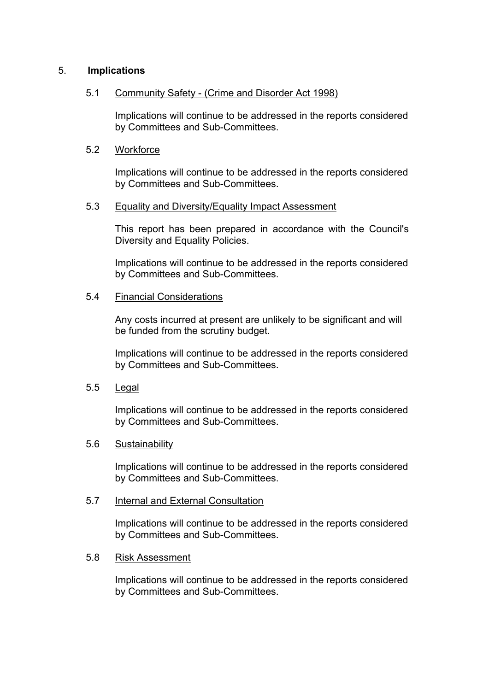### 5. **Implications**

#### 5.1 Community Safety - (Crime and Disorder Act 1998)

Implications will continue to be addressed in the reports considered by Committees and Sub-Committees.

#### 5.2 Workforce

Implications will continue to be addressed in the reports considered by Committees and Sub-Committees.

#### 5.3 Equality and Diversity/Equality Impact Assessment

This report has been prepared in accordance with the Council's Diversity and Equality Policies.

Implications will continue to be addressed in the reports considered by Committees and Sub-Committees.

### 5.4 Financial Considerations

Any costs incurred at present are unlikely to be significant and will be funded from the scrutiny budget.

Implications will continue to be addressed in the reports considered by Committees and Sub-Committees.

5.5 Legal

Implications will continue to be addressed in the reports considered by Committees and Sub-Committees.

#### 5.6 Sustainability

Implications will continue to be addressed in the reports considered by Committees and Sub-Committees.

#### 5.7 Internal and External Consultation

Implications will continue to be addressed in the reports considered by Committees and Sub-Committees.

#### 5.8 Risk Assessment

Implications will continue to be addressed in the reports considered by Committees and Sub-Committees.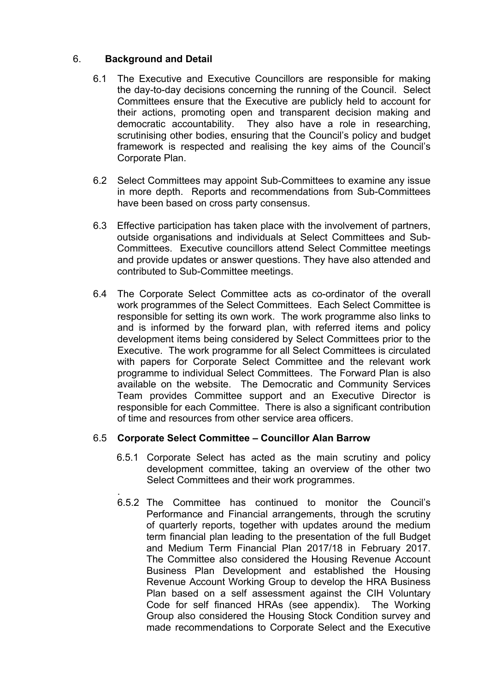# 6. **Background and Detail**

- 6.1 The Executive and Executive Councillors are responsible for making the day-to-day decisions concerning the running of the Council. Select Committees ensure that the Executive are publicly held to account for their actions, promoting open and transparent decision making and democratic accountability. They also have a role in researching, scrutinising other bodies, ensuring that the Council's policy and budget framework is respected and realising the key aims of the Council's Corporate Plan.
- 6.2 Select Committees may appoint Sub-Committees to examine any issue in more depth. Reports and recommendations from Sub-Committees have been based on cross party consensus.
- 6.3 Effective participation has taken place with the involvement of partners, outside organisations and individuals at Select Committees and Sub-Committees. Executive councillors attend Select Committee meetings and provide updates or answer questions. They have also attended and contributed to Sub-Committee meetings.
- 6.4 The Corporate Select Committee acts as co-ordinator of the overall work programmes of the Select Committees. Each Select Committee is responsible for setting its own work. The work programme also links to and is informed by the forward plan, with referred items and policy development items being considered by Select Committees prior to the Executive. The work programme for all Select Committees is circulated with papers for Corporate Select Committee and the relevant work programme to individual Select Committees. The Forward Plan is also available on the website. The Democratic and Community Services Team provides Committee support and an Executive Director is responsible for each Committee. There is also a significant contribution of time and resources from other service area officers.

# 6.5 **Corporate Select Committee – Councillor Alan Barrow**

- 6.5.1 Corporate Select has acted as the main scrutiny and policy development committee, taking an overview of the other two Select Committees and their work programmes.
- . 6.5.2 The Committee has continued to monitor the Council's Performance and Financial arrangements, through the scrutiny of quarterly reports, together with updates around the medium term financial plan leading to the presentation of the full Budget and Medium Term Financial Plan 2017/18 in February 2017. The Committee also considered the Housing Revenue Account Business Plan Development and established the Housing Revenue Account Working Group to develop the HRA Business Plan based on a self assessment against the CIH Voluntary Code for self financed HRAs (see appendix). The Working Group also considered the Housing Stock Condition survey and made recommendations to Corporate Select and the Executive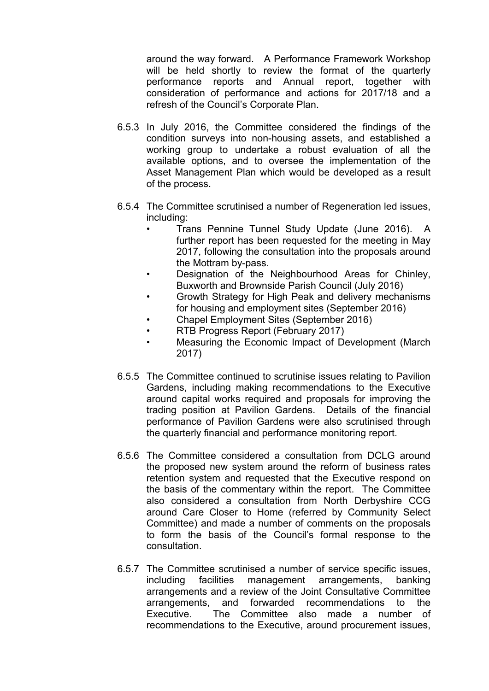around the way forward. A Performance Framework Workshop will be held shortly to review the format of the quarterly performance reports and Annual report, together with consideration of performance and actions for 2017/18 and a refresh of the Council's Corporate Plan.

- 6.5.3 In July 2016, the Committee considered the findings of the condition surveys into non-housing assets, and established a working group to undertake a robust evaluation of all the available options, and to oversee the implementation of the Asset Management Plan which would be developed as a result of the process.
- 6.5.4 The Committee scrutinised a number of Regeneration led issues, including:
	- Trans Pennine Tunnel Study Update (June 2016). A further report has been requested for the meeting in May 2017, following the consultation into the proposals around the Mottram by-pass.
	- Designation of the Neighbourhood Areas for Chinley, Buxworth and Brownside Parish Council (July 2016)
	- Growth Strategy for High Peak and delivery mechanisms for housing and employment sites (September 2016)
	- Chapel Employment Sites (September 2016)
	- RTB Progress Report (February 2017)
	- Measuring the Economic Impact of Development (March 2017)
- 6.5.5 The Committee continued to scrutinise issues relating to Pavilion Gardens, including making recommendations to the Executive around capital works required and proposals for improving the trading position at Pavilion Gardens. Details of the financial performance of Pavilion Gardens were also scrutinised through the quarterly financial and performance monitoring report.
- 6.5.6 The Committee considered a consultation from DCLG around the proposed new system around the reform of business rates retention system and requested that the Executive respond on the basis of the commentary within the report. The Committee also considered a consultation from North Derbyshire CCG around Care Closer to Home (referred by Community Select Committee) and made a number of comments on the proposals to form the basis of the Council's formal response to the consultation.
- 6.5.7 The Committee scrutinised a number of service specific issues, including facilities management arrangements, banking arrangements and a review of the Joint Consultative Committee arrangements, and forwarded recommendations to the Executive. The Committee also made a number of recommendations to the Executive, around procurement issues,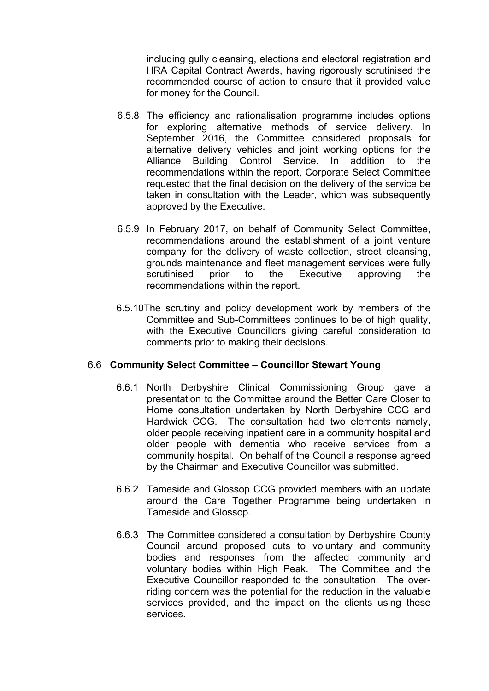including gully cleansing, elections and electoral registration and HRA Capital Contract Awards, having rigorously scrutinised the recommended course of action to ensure that it provided value for money for the Council.

- 6.5.8 The efficiency and rationalisation programme includes options for exploring alternative methods of service delivery. In September 2016, the Committee considered proposals for alternative delivery vehicles and joint working options for the Alliance Building Control Service. In addition to the recommendations within the report, Corporate Select Committee requested that the final decision on the delivery of the service be taken in consultation with the Leader, which was subsequently approved by the Executive.
- 6.5.9 In February 2017, on behalf of Community Select Committee, recommendations around the establishment of a joint venture company for the delivery of waste collection, street cleansing, grounds maintenance and fleet management services were fully scrutinised prior to the Executive approving the recommendations within the report.
- 6.5.10The scrutiny and policy development work by members of the Committee and Sub-Committees continues to be of high quality. with the Executive Councillors giving careful consideration to comments prior to making their decisions.

### 6.6 **Community Select Committee – Councillor Stewart Young**

- 6.6.1 North Derbyshire Clinical Commissioning Group gave a presentation to the Committee around the Better Care Closer to Home consultation undertaken by North Derbyshire CCG and Hardwick CCG. The consultation had two elements namely, older people receiving inpatient care in a community hospital and older people with dementia who receive services from a community hospital. On behalf of the Council a response agreed by the Chairman and Executive Councillor was submitted.
- 6.6.2 Tameside and Glossop CCG provided members with an update around the Care Together Programme being undertaken in Tameside and Glossop.
- 6.6.3 The Committee considered a consultation by Derbyshire County Council around proposed cuts to voluntary and community bodies and responses from the affected community and voluntary bodies within High Peak. The Committee and the Executive Councillor responded to the consultation. The overriding concern was the potential for the reduction in the valuable services provided, and the impact on the clients using these services.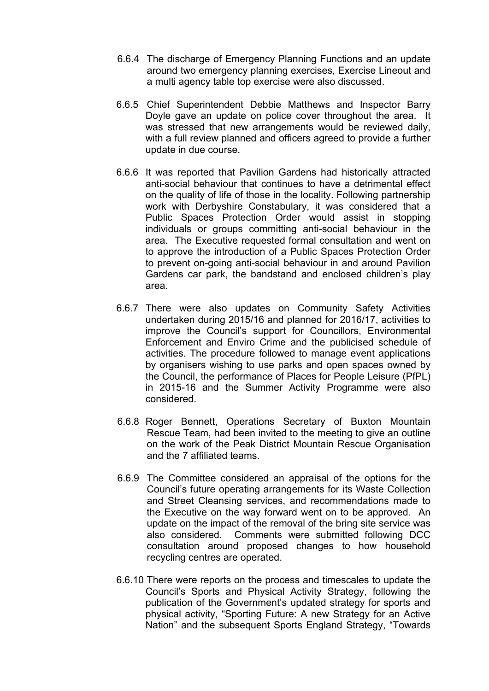- 6.6.4 The discharge of Emergency Planning Functions and an update around two emergency planning exercises, Exercise Lineout and a multi agency table top exercise were also discussed.
- 6.6.5 Chief Superintendent Debbie Matthews and Inspector Barry Doyle gave an update on police cover throughout the area. It was stressed that new arrangements would be reviewed daily, with a full review planned and officers agreed to provide a further update in due course.
- 6.6.6 It was reported that Pavilion Gardens had historically attracted anti-social behaviour that continues to have a detrimental effect on the quality of life of those in the locality. Following partnership work with Derbyshire Constabulary, it was considered that a Public Spaces Protection Order would assist in stopping individuals or groups committing anti-social behaviour in the area. The Executive requested formal consultation and went on to approve the introduction of a Public Spaces Protection Order to prevent on-going anti-social behaviour in and around Pavilion Gardens car park, the bandstand and enclosed children's play area.
- 6.6.7 There were also updates on Community Safety Activities undertaken during 2015/16 and planned for 2016/17, activities to improve the Council's support for Councillors, Environmental Enforcement and Enviro Crime and the publicised schedule of activities. The procedure followed to manage event applications by organisers wishing to use parks and open spaces owned by the Council, the performance of Places for People Leisure (PfPL) in 2015-16 and the Summer Activity Programme were also considered.
- 6.6.8 Roger Bennett, Operations Secretary of Buxton Mountain Rescue Team, had been invited to the meeting to give an outline on the work of the Peak District Mountain Rescue Organisation and the 7 affiliated teams.
- 6.6.9 The Committee considered an appraisal of the options for the Council's future operating arrangements for its Waste Collection and Street Cleansing services, and recommendations made to the Executive on the way forward went on to be approved. An update on the impact of the removal of the bring site service was also considered. Comments were submitted following DCC consultation around proposed changes to how household recycling centres are operated.
- 6.6.10 There were reports on the process and timescales to update the Council's Sports and Physical Activity Strategy, following the publication of the Government's updated strategy for sports and physical activity, "Sporting Future: A new Strategy for an Active Nation" and the subsequent Sports England Strategy, "Towards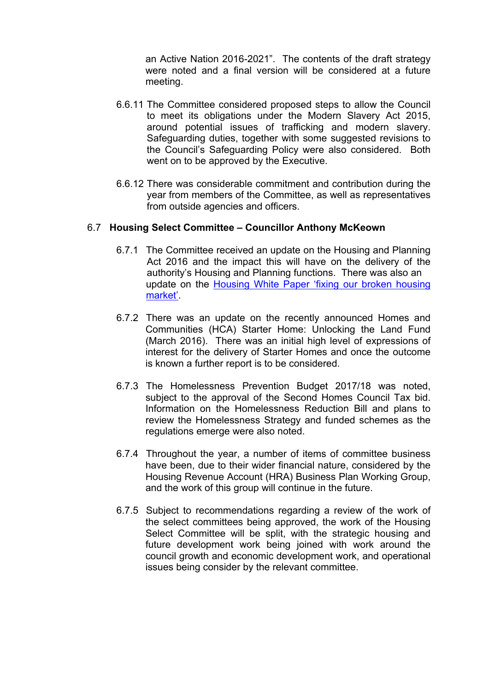an Active Nation 2016-2021". The contents of the draft strategy were noted and a final version will be considered at a future meeting.

- 6.6.11 The Committee considered proposed steps to allow the Council to meet its obligations under the Modern Slavery Act 2015, around potential issues of trafficking and modern slavery. Safeguarding duties, together with some suggested revisions to the Council's Safeguarding Policy were also considered. Both went on to be approved by the Executive.
- 6.6.12 There was considerable commitment and contribution during the year from members of the Committee, as well as representatives from outside agencies and officers.

### 6.7 **Housing Select Committee – Councillor Anthony McKeown**

- 6.7.1 The Committee received an update on the Housing and Planning Act 2016 and the impact this will have on the delivery of the authority's Housing and Planning functions. There was also an update on the [Housing](https://www.gov.uk/government/collections/housing-white-paper) White Paper 'fixing our broken housing [market'](https://www.gov.uk/government/collections/housing-white-paper).
- 6.7.2 There was an update on the recently announced Homes and Communities (HCA) Starter Home: Unlocking the Land Fund (March 2016). There was an initial high level of expressions of interest for the delivery of Starter Homes and once the outcome is known a further report is to be considered.
- 6.7.3 The Homelessness Prevention Budget 2017/18 was noted, subject to the approval of the Second Homes Council Tax bid. Information on the Homelessness Reduction Bill and plans to review the Homelessness Strategy and funded schemes as the regulations emerge were also noted.
- 6.7.4 Throughout the year, a number of items of committee business have been, due to their wider financial nature, considered by the Housing Revenue Account (HRA) Business Plan Working Group, and the work of this group will continue in the future.
- 6.7.5 Subject to recommendations regarding a review of the work of the select committees being approved, the work of the Housing Select Committee will be split, with the strategic housing and future development work being joined with work around the council growth and economic development work, and operational issues being consider by the relevant committee.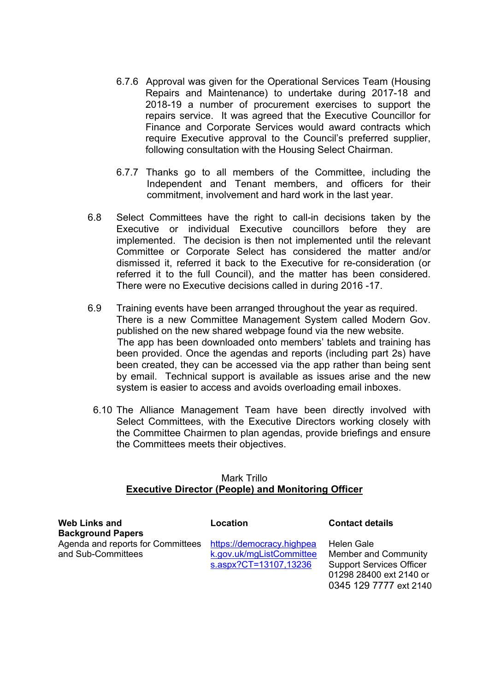- 6.7.6 Approval was given for the Operational Services Team (Housing Repairs and Maintenance) to undertake during 2017-18 and 2018-19 a number of procurement exercises to support the repairs service. It was agreed that the Executive Councillor for Finance and Corporate Services would award contracts which require Executive approval to the Council's preferred supplier, following consultation with the Housing Select Chairman.
- 6.7.7 Thanks go to all members of the Committee, including the Independent and Tenant members, and officers for their commitment, involvement and hard work in the last year.
- 6.8 Select Committees have the right to call-in decisions taken by the Executive or individual Executive councillors before they are implemented. The decision is then not implemented until the relevant Committee or Corporate Select has considered the matter and/or dismissed it, referred it back to the Executive for re-consideration (or referred it to the full Council), and the matter has been considered. There were no Executive decisions called in during 2016 -17.
- 6.9 Training events have been arranged throughout the year as required. There is a new Committee Management System called Modern Gov. published on the new shared webpage found via the new website. The app has been downloaded onto members' tablets and training has been provided. Once the agendas and reports (including part 2s) have been created, they can be accessed via the app rather than being sent by email. Technical support is available as issues arise and the new system is easier to access and avoids overloading email inboxes.
	- 6.10 The Alliance Management Team have been directly involved with Select Committees, with the Executive Directors working closely with the Committee Chairmen to plan agendas, provide briefings and ensure the Committees meets their objectives.

#### Mark Trillo **Executive Director (People) and Monitoring Officer**

| <b>Web Links and</b>              | Location                  | <b>Contact details</b>          |
|-----------------------------------|---------------------------|---------------------------------|
| <b>Background Papers</b>          |                           |                                 |
| Agenda and reports for Committees | https://democracy.highpea | Helen Gale                      |
| and Sub-Committees                | k.gov.uk/mgListCommittee  | <b>Member and Community</b>     |
|                                   | s.aspx?CT=13107,13236     | <b>Support Services Officer</b> |
|                                   |                           | 01298 28400 ext 2140 or         |

0345 129 7777 ext 2140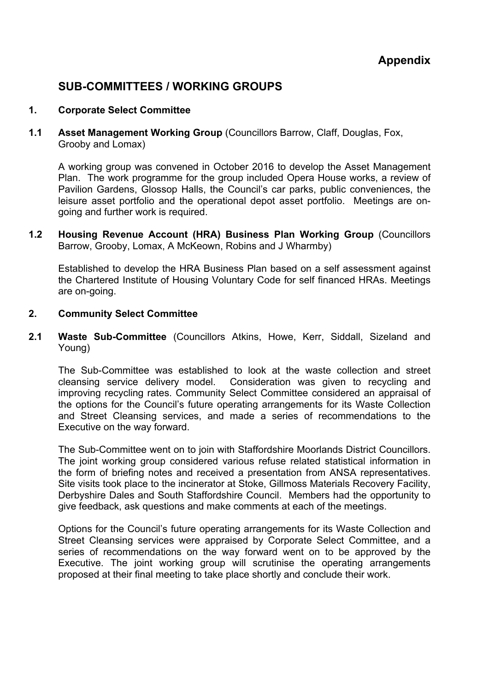# **SUB-COMMITTEES / WORKING GROUPS**

### **1. Corporate Select Committee**

**1.1 Asset Management Working Group** (Councillors Barrow, Claff, Douglas, Fox, Grooby and Lomax)

A working group was convened in October 2016 to develop the Asset Management Plan. The work programme for the group included Opera House works, a review of Pavilion Gardens, Glossop Halls, the Council's car parks, public conveniences, the leisure asset portfolio and the operational depot asset portfolio. Meetings are ongoing and further work is required.

**1.2 Housing Revenue Account (HRA) Business Plan Working Group** (Councillors Barrow, Grooby, Lomax, A McKeown, Robins and J Wharmby)

Established to develop the HRA Business Plan based on a self assessment against the Chartered Institute of Housing Voluntary Code for self financed HRAs. Meetings are on-going.

#### **2. Community Select Committee**

**2.1 Waste Sub-Committee** (Councillors Atkins, Howe, Kerr, Siddall, Sizeland and Young)

The Sub-Committee was established to look at the waste collection and street cleansing service delivery model. Consideration was given to recycling and improving recycling rates. Community Select Committee considered an appraisal of the options for the Council's future operating arrangements for its Waste Collection and Street Cleansing services, and made a series of recommendations to the Executive on the way forward.

The Sub-Committee went on to join with Staffordshire Moorlands District Councillors. The joint working group considered various refuse related statistical information in the form of briefing notes and received a presentation from ANSA representatives. Site visits took place to the incinerator at Stoke, Gillmoss Materials Recovery Facility, Derbyshire Dales and South Staffordshire Council. Members had the opportunity to give feedback, ask questions and make comments at each of the meetings.

Options for the Council's future operating arrangements for its Waste Collection and Street Cleansing services were appraised by Corporate Select Committee, and a series of recommendations on the way forward went on to be approved by the Executive. The joint working group will scrutinise the operating arrangements proposed at their final meeting to take place shortly and conclude their work.